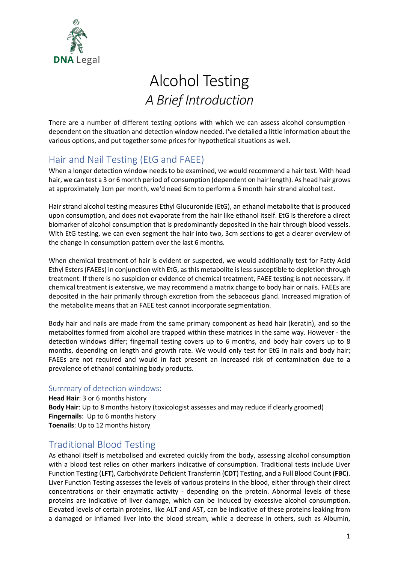

# Alcohol Testing *A Brief Introduction*

There are a number of different testing options with which we can assess alcohol consumption dependent on the situation and detection window needed. I've detailed a little information about the various options, and put together some prices for hypothetical situations as well.

## Hair and Nail Testing (EtG and FAEE)

When a longer detection window needs to be examined, we would recommend a hair test. With head hair, we can test a 3 or 6 month period of consumption (dependent on hair length). As head hair grows at approximately 1cm per month, we'd need 6cm to perform a 6 month hair strand alcohol test.

Hair strand alcohol testing measures Ethyl Glucuronide (EtG), an ethanol metabolite that is produced upon consumption, and does not evaporate from the hair like ethanol itself. EtG is therefore a direct biomarker of alcohol consumption that is predominantly deposited in the hair through blood vessels. With EtG testing, we can even segment the hair into two, 3cm sections to get a clearer overview of the change in consumption pattern over the last 6 months.

When chemical treatment of hair is evident or suspected, we would additionally test for Fatty Acid Ethyl Esters (FAEEs) in conjunction with EtG, as this metabolite is less susceptible to depletion through treatment. If there is no suspicion or evidence of chemical treatment, FAEE testing is not necessary. If chemical treatment is extensive, we may recommend a matrix change to body hair or nails. FAEEs are deposited in the hair primarily through excretion from the sebaceous gland. Increased migration of the metabolite means that an FAEE test cannot incorporate segmentation.

Body hair and nails are made from the same primary component as head hair (keratin), and so the metabolites formed from alcohol are trapped within these matrices in the same way. However - the detection windows differ; fingernail testing covers up to 6 months, and body hair covers up to 8 months, depending on length and growth rate. We would only test for EtG in nails and body hair; FAEEs are not required and would in fact present an increased risk of contamination due to a prevalence of ethanol containing body products.

#### Summary of detection windows:

**Head Hair**: 3 or 6 months history **Body Hair**: Up to 8 months history (toxicologist assesses and may reduce if clearly groomed) **Fingernails**: Up to 6 months history **Toenails**: Up to 12 months history

## Traditional Blood Testing

As ethanol itself is metabolised and excreted quickly from the body, assessing alcohol consumption with a blood test relies on other markers indicative of consumption. Traditional tests include Liver Function Testing (**LFT**), Carbohydrate Deficient Transferrin (**CDT**) Testing, and a Full Blood Count (**FBC**). Liver Function Testing assesses the levels of various proteins in the blood, either through their direct concentrations or their enzymatic activity - depending on the protein. Abnormal levels of these proteins are indicative of liver damage, which can be induced by excessive alcohol consumption. Elevated levels of certain proteins, like ALT and AST, can be indicative of these proteins leaking from a damaged or inflamed liver into the blood stream, while a decrease in others, such as Albumin,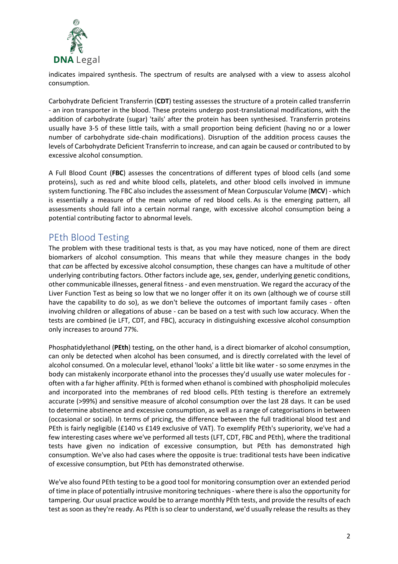

indicates impaired synthesis. The spectrum of results are analysed with a view to assess alcohol consumption.

Carbohydrate Deficient Transferrin (**CDT**) testing assesses the structure of a protein called transferrin - an iron transporter in the blood. These proteins undergo post-translational modifications, with the addition of carbohydrate (sugar) 'tails' after the protein has been synthesised. Transferrin proteins usually have 3-5 of these little tails, with a small proportion being deficient (having no or a lower number of carbohydrate side-chain modifications). Disruption of the addition process causes the levels of Carbohydrate Deficient Transferrin to increase, and can again be caused or contributed to by excessive alcohol consumption.

A Full Blood Count (**FBC**) assesses the concentrations of different types of blood cells (and some proteins), such as red and white blood cells, platelets, and other blood cells involved in immune system functioning. The FBC also includes the assessment of Mean Corpuscular Volume (**MCV**) - which is essentially a measure of the mean volume of red blood cells. As is the emerging pattern, all assessments should fall into a certain normal range, with excessive alcohol consumption being a potential contributing factor to abnormal levels.

### PEth Blood Testing

The problem with these traditional tests is that, as you may have noticed, none of them are direct biomarkers of alcohol consumption. This means that while they measure changes in the body that *can* be affected by excessive alcohol consumption, these changes can have a multitude of other underlying contributing factors. Other factors include age, sex, gender, underlying genetic conditions, other communicable illnesses, general fitness - and even menstruation. We regard the accuracy of the Liver Function Test as being so low that we no longer offer it on its own (although we of course still have the capability to do so), as we don't believe the outcomes of important family cases - often involving children or allegations of abuse - can be based on a test with such low accuracy. When the tests are combined (ie LFT, CDT, and FBC), accuracy in distinguishing excessive alcohol consumption only increases to around 77%.

Phosphatidylethanol (**PEth**) testing, on the other hand, is a direct biomarker of alcohol consumption, can only be detected when alcohol has been consumed, and is directly correlated with the level of alcohol consumed. On a molecular level, ethanol 'looks' a little bit like water - so some enzymes in the body can mistakenly incorporate ethanol into the processes they'd usually use water molecules for often with a far higher affinity. PEth is formed when ethanol is combined with phospholipid molecules and incorporated into the membranes of red blood cells. PEth testing is therefore an extremely accurate (>99%) and sensitive measure of alcohol consumption over the last 28 days. It can be used to determine abstinence and excessive consumption, as well as a range of categorisations in between (occasional or social). In terms of pricing, the difference between the full traditional blood test and PEth is fairly negligible (£140 vs £149 exclusive of VAT). To exemplify PEth's superiority, we've had a few interesting cases where we've performed all tests (LFT, CDT, FBC and PEth), where the traditional tests have given no indication of excessive consumption, but PEth has demonstrated high consumption. We've also had cases where the opposite is true: traditional tests have been indicative of excessive consumption, but PEth has demonstrated otherwise.

We've also found PEth testing to be a good tool for monitoring consumption over an extended period of time in place of potentially intrusive monitoring techniques - where there is also the opportunity for tampering. Our usual practice would be to arrange monthly PEth tests, and provide the results of each test as soon as they're ready. As PEth is so clear to understand, we'd usually release the results as they